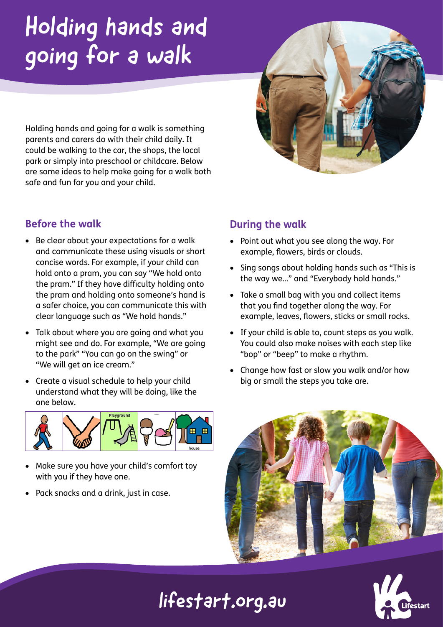# Holding hands and going for a walk

Holding hands and going for a walk is something parents and carers do with their child daily. It could be walking to the car, the shops, the local park or simply into preschool or childcare. Below are some ideas to help make going for a walk both safe and fun for you and your child.

### **Before the walk**

- Be clear about your expectations for a walk and communicate these using visuals or short concise words. For example, if your child can hold onto a pram, you can say "We hold onto the pram." If they have difficulty holding onto the pram and holding onto someone's hand is a safer choice, you can communicate this with clear language such as "We hold hands."
- Talk about where you are going and what you might see and do. For example, "We are going to the park" "You can go on the swing" or "We will get an ice cream."
- Create a visual schedule to help your child understand what they will be doing, like the one below.



- Make sure you have your child's comfort toy with you if they have one.
- Pack snacks and a drink, just in case.

### **During the walk**

- Point out what you see along the way. For example, flowers, birds or clouds.
- Sing songs about holding hands such as "This is the way we…" and "Everybody hold hands."
- Take a small bag with you and collect items that you find together along the way. For example, leaves, flowers, sticks or small rocks.
- If your child is able to, count steps as you walk. You could also make noises with each step like "bop" or "beep" to make a rhythm.
- Change how fast or slow you walk and/or how big or small the steps you take are.





# lifestart.org.au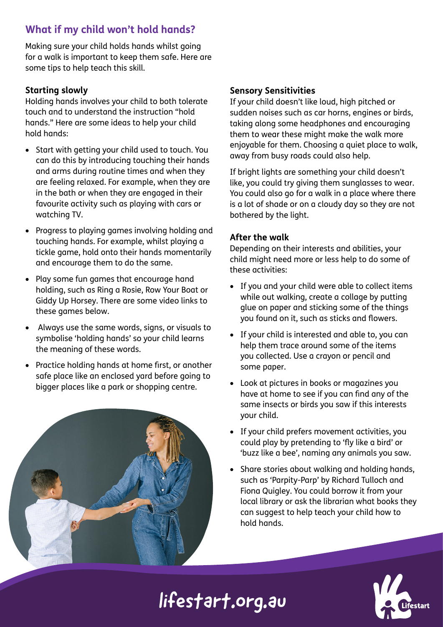### **What if my child won't hold hands?**

Making sure your child holds hands whilst going for a walk is important to keep them safe. Here are some tips to help teach this skill.

#### **Starting slowly**

Holding hands involves your child to both tolerate touch and to understand the instruction "hold hands." Here are some ideas to help your child hold hands:

- Start with getting your child used to touch. You can do this by introducing touching their hands and arms during routine times and when they are feeling relaxed. For example, when they are in the bath or when they are engaged in their favourite activity such as playing with cars or watching TV.
- Progress to playing games involving holding and touching hands. For example, whilst playing a tickle game, hold onto their hands momentarily and encourage them to do the same.
- Play some fun games that encourage hand holding, such as Ring a Rosie, Row Your Boat or Giddy Up Horsey. There are some video links to these games below.
- Always use the same words, signs, or visuals to symbolise 'holding hands' so your child learns the meaning of these words.
- Practice holding hands at home first, or another safe place like an enclosed yard before going to bigger places like a park or shopping centre.



#### **Sensory Sensitivities**

If your child doesn't like loud, high pitched or sudden noises such as car horns, engines or birds, taking along some headphones and encouraging them to wear these might make the walk more enjoyable for them. Choosing a quiet place to walk, away from busy roads could also help.

If bright lights are something your child doesn't like, you could try giving them sunglasses to wear. You could also go for a walk in a place where there is a lot of shade or on a cloudy day so they are not bothered by the light.

#### **After the walk**

Depending on their interests and abilities, your child might need more or less help to do some of these activities:

- If you and your child were able to collect items while out walking, create a collage by putting glue on paper and sticking some of the things you found on it, such as sticks and flowers.
- If your child is interested and able to, you can help them trace around some of the items you collected. Use a crayon or pencil and some paper.
- Look at pictures in books or magazines you have at home to see if you can find any of the same insects or birds you saw if this interests your child.
- If your child prefers movement activities, you could play by pretending to 'fly like a bird' or 'buzz like a bee', naming any animals you saw.
- Share stories about walking and holding hands, such as 'Parpity-Parp' by Richard Tulloch and Fiona Quigley. You could borrow it from your local library or ask the librarian what books they can suggest to help teach your child how to hold hands.



# lifestart.org.au